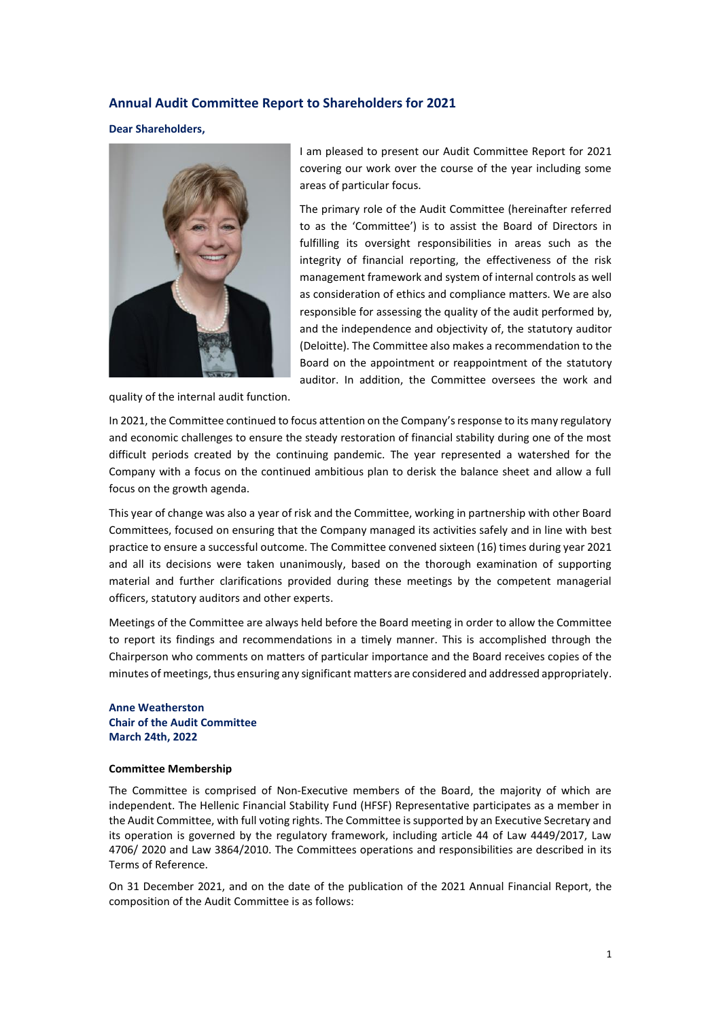# **Annual Audit Committee Report to Shareholders for 2021**

**Dear Shareholders,**



quality of the internal audit function.

I am pleased to present our Audit Committee Report for 2021 covering our work over the course of the year including some areas of particular focus.

The primary role of the Audit Committee (hereinafter referred to as the 'Committee') is to assist the Board of Directors in fulfilling its oversight responsibilities in areas such as the integrity of financial reporting, the effectiveness of the risk management framework and system of internal controls as well as consideration of ethics and compliance matters. We are also responsible for assessing the quality of the audit performed by, and the independence and objectivity of, the statutory auditor (Deloitte). The Committee also makes a recommendation to the Board on the appointment or reappointment of the statutory auditor. In addition, the Committee oversees the work and

In 2021, the Committee continued to focus attention on the Company's response to its many regulatory and economic challenges to ensure the steady restoration of financial stability during one of the most difficult periods created by the continuing pandemic. The year represented a watershed for the Company with a focus on the continued ambitious plan to derisk the balance sheet and allow a full focus on the growth agenda.

This year of change was also a year of risk and the Committee, working in partnership with other Board Committees, focused on ensuring that the Company managed its activities safely and in line with best practice to ensure a successful outcome. The Committee convened sixteen (16) times during year 2021 and all its decisions were taken unanimously, based on the thorough examination of supporting material and further clarifications provided during these meetings by the competent managerial officers, statutory auditors and other experts.

Meetings of the Committee are always held before the Board meeting in order to allow the Committee to report its findings and recommendations in a timely manner. This is accomplished through the Chairperson who comments on matters of particular importance and the Board receives copies of the minutes of meetings, thus ensuring any significant matters are considered and addressed appropriately.

## **Anne Weatherston Chair of the Audit Committee March 24th, 2022**

#### **Committee Membership**

The Committee is comprised of Non-Executive members of the Board, the majority of which are independent. The Hellenic Financial Stability Fund (HFSF) Representative participates as a member in the Audit Committee, with full voting rights. The Committee is supported by an Executive Secretary and its operation is governed by the regulatory framework, including article 44 of Law 4449/2017, Law 4706/ 2020 and Law 3864/2010. The Committees operations and responsibilities are described in its Terms of Reference.

On 31 December 2021, and on the date of the publication of the 2021 Annual Financial Report, the composition of the Audit Committee is as follows: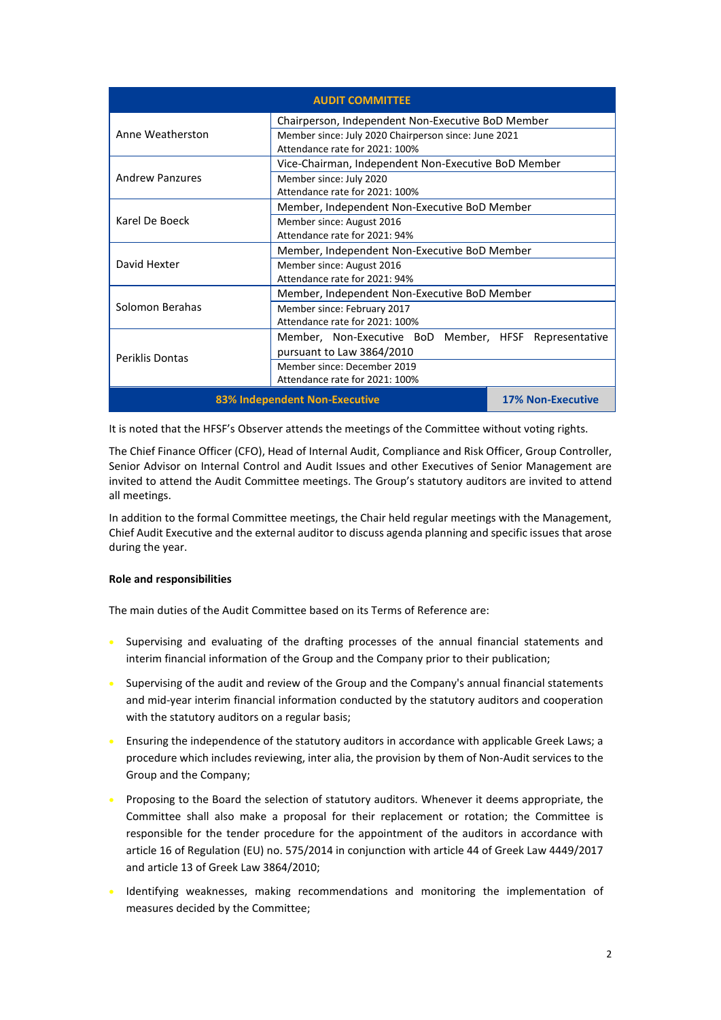| <b>AUDIT COMMITTEE</b>        |                                                       |                          |
|-------------------------------|-------------------------------------------------------|--------------------------|
| Anne Weatherston              | Chairperson, Independent Non-Executive BoD Member     |                          |
|                               | Member since: July 2020 Chairperson since: June 2021  |                          |
|                               | Attendance rate for 2021: 100%                        |                          |
| <b>Andrew Panzures</b>        | Vice-Chairman, Independent Non-Executive BoD Member   |                          |
|                               | Member since: July 2020                               |                          |
|                               | Attendance rate for 2021: 100%                        |                          |
| Karel De Boeck                | Member, Independent Non-Executive BoD Member          |                          |
|                               | Member since: August 2016                             |                          |
|                               | Attendance rate for 2021: 94%                         |                          |
| David Hexter                  | Member, Independent Non-Executive BoD Member          |                          |
|                               | Member since: August 2016                             |                          |
|                               | Attendance rate for 2021: 94%                         |                          |
| Solomon Berahas               | Member, Independent Non-Executive BoD Member          |                          |
|                               | Member since: February 2017                           |                          |
|                               | Attendance rate for 2021: 100%                        |                          |
| <b>Periklis Dontas</b>        | Member, Non-Executive BoD Member, HFSF Representative |                          |
|                               | pursuant to Law 3864/2010                             |                          |
|                               | Member since: December 2019                           |                          |
|                               | Attendance rate for 2021: 100%                        |                          |
| 83% Independent Non-Executive |                                                       | <b>17% Non-Executive</b> |

It is noted that the HFSF's Observer attends the meetings of the Committee without voting rights.

The Chief Finance Officer (CFO), Head of Internal Audit, Compliance and Risk Officer, Group Controller, Senior Advisor on Internal Control and Audit Issues and other Executives of Senior Management are invited to attend the Audit Committee meetings. The Group's statutory auditors are invited to attend all meetings.

In addition to the formal Committee meetings, the Chair held regular meetings with the Management, Chief Audit Executive and the external auditor to discuss agenda planning and specific issues that arose during the year.

## **Role and responsibilities**

The main duties of the Audit Committee based on its Terms of Reference are:

- Supervising and evaluating of the drafting processes of the annual financial statements and interim financial information of the Group and the Company prior to their publication;
- Supervising of the audit and review of the Group and the Company's annual financial statements and mid-year interim financial information conducted by the statutory auditors and cooperation with the statutory auditors on a regular basis;
- Ensuring the independence of the statutory auditors in accordance with applicable Greek Laws; a procedure which includes reviewing, inter alia, the provision by them of Non-Audit services to the Group and the Company;
- Proposing to the Board the selection of statutory auditors. Whenever it deems appropriate, the Committee shall also make a proposal for their replacement or rotation; the Committee is responsible for the tender procedure for the appointment of the auditors in accordance with article 16 of Regulation (EU) no. 575/2014 in conjunction with article 44 of Greek Law 4449/2017 and article 13 of Greek Law 3864/2010;
- Identifying weaknesses, making recommendations and monitoring the implementation of measures decided by the Committee;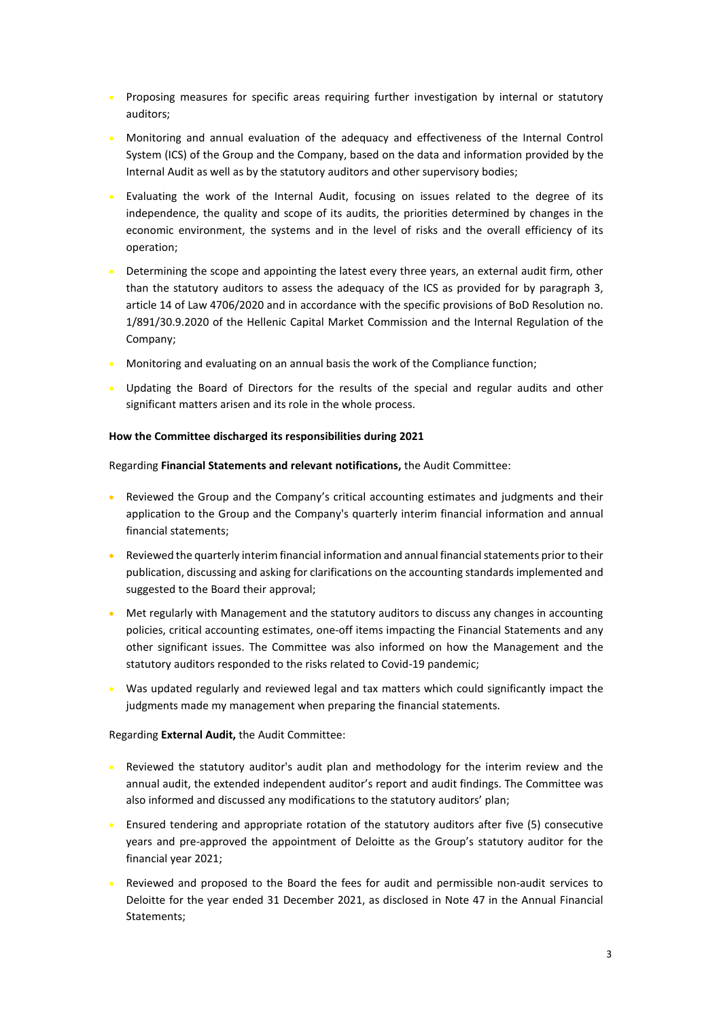- Proposing measures for specific areas requiring further investigation by internal or statutory auditors;
- Monitoring and annual evaluation of the adequacy and effectiveness of the Internal Control System (ICS) of the Group and the Company, based on the data and information provided by the Internal Audit as well as by the statutory auditors and other supervisory bodies;
- Evaluating the work of the Internal Audit, focusing on issues related to the degree of its independence, the quality and scope of its audits, the priorities determined by changes in the economic environment, the systems and in the level of risks and the overall efficiency of its operation;
- Determining the scope and appointing the latest every three years, an external audit firm, other than the statutory auditors to assess the adequacy of the ICS as provided for by paragraph 3, article 14 of Law 4706/2020 and in accordance with the specific provisions of BoD Resolution no. 1/891/30.9.2020 of the Hellenic Capital Market Commission and the Internal Regulation of the Company;
- **Monitoring and evaluating on an annual basis the work of the Compliance function;**
- Updating the Board of Directors for the results of the special and regular audits and other significant matters arisen and its role in the whole process.

## **How the Committee discharged its responsibilities during 2021**

Regarding **Financial Statements and relevant notifications,** the Audit Committee:

- Reviewed the Group and the Company's critical accounting estimates and judgments and their application to the Group and the Company's quarterly interim financial information and annual financial statements;
- Reviewed the quarterly interim financial information and annual financial statements prior to their publication, discussing and asking for clarifications on the accounting standards implemented and suggested to the Board their approval;
- Met regularly with Management and the statutory auditors to discuss any changes in accounting policies, critical accounting estimates, one-off items impacting the Financial Statements and any other significant issues. The Committee was also informed on how the Management and the statutory auditors responded to the risks related to Covid-19 pandemic;
- Was updated regularly and reviewed legal and tax matters which could significantly impact the judgments made my management when preparing the financial statements.

## Regarding **External Audit,** the Audit Committee:

- Reviewed the statutory auditor's audit plan and methodology for the interim review and the annual audit, the extended independent auditor's report and audit findings. The Committee was also informed and discussed any modifications to the statutory auditors' plan;
- Ensured tendering and appropriate rotation of the statutory auditors after five (5) consecutive years and pre-approved the appointment of Deloitte as the Group's statutory auditor for the financial year 2021;
- Reviewed and proposed to the Board the fees for audit and permissible non-audit services to Deloitte for the year ended 31 December 2021, as disclosed in Note 47 in the Annual Financial Statements;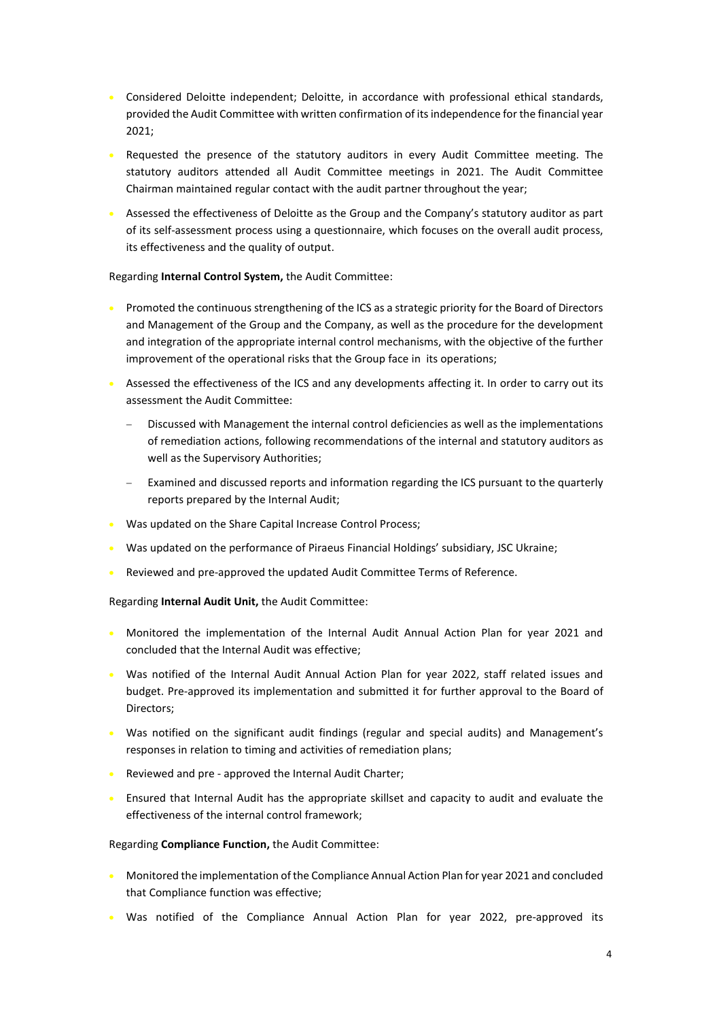- Considered Deloitte independent; Deloitte, in accordance with professional ethical standards, provided the Audit Committee with written confirmation of itsindependence for the financial year 2021;
- Requested the presence of the statutory auditors in every Audit Committee meeting. The statutory auditors attended all Audit Committee meetings in 2021. The Audit Committee Chairman maintained regular contact with the audit partner throughout the year;
- Assessed the effectiveness of Deloitte as the Group and the Company's statutory auditor as part of its self-assessment process using a questionnaire, which focuses on the overall audit process, its effectiveness and the quality of output.

#### Regarding **Internal Control System,** the Audit Committee:

- Promoted the continuous strengthening of the ICS as a strategic priority for the Board of Directors and Management of the Group and the Company, as well as the procedure for the development and integration of the appropriate internal control mechanisms, with the objective of the further improvement of the operational risks that the Group face in its operations;
- Assessed the effectiveness of the ICS and any developments affecting it. In order to carry out its assessment the Audit Committee:
	- Discussed with Management the internal control deficiencies as well as the implementations of remediation actions, following recommendations of the internal and statutory auditors as well as the Supervisory Authorities;
	- Examined and discussed reports and information regarding the ICS pursuant to the quarterly reports prepared by the Internal Audit;
- Was updated on the Share Capital Increase Control Process;
- Was updated on the performance of Piraeus Financial Holdings' subsidiary, JSC Ukraine;
- Reviewed and pre-approved the updated Audit Committee Terms of Reference.

## Regarding **Internal Audit Unit,** the Audit Committee:

- Monitored the implementation of the Internal Audit Annual Action Plan for year 2021 and concluded that the Internal Audit was effective;
- Was notified of the Internal Audit Annual Action Plan for year 2022, staff related issues and budget. Pre-approved its implementation and submitted it for further approval to the Board of Directors;
- Was notified on the significant audit findings (regular and special audits) and Management's responses in relation to timing and activities of remediation plans;
- Reviewed and pre approved the Internal Audit Charter;
- Ensured that Internal Audit has the appropriate skillset and capacity to audit and evaluate the effectiveness of the internal control framework;

#### Regarding **Compliance Function,** the Audit Committee:

- **Monitored the implementation of the Compliance Annual Action Plan for year 2021 and concluded** that Compliance function was effective;
- Was notified of the Compliance Annual Action Plan for year 2022, pre-approved its